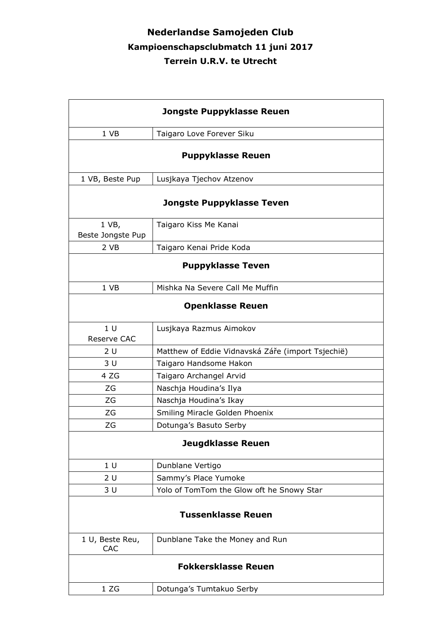## **Nederlandse Samojeden Club Kampioenschapsclubmatch 11 juni 2017 Terrein U.R.V. te Utrecht**

| Jongste Puppyklasse Reuen        |                                                   |  |
|----------------------------------|---------------------------------------------------|--|
| 1 VB                             | Taigaro Love Forever Siku                         |  |
| <b>Puppyklasse Reuen</b>         |                                                   |  |
| 1 VB, Beste Pup                  | Lusjkaya Tjechov Atzenov                          |  |
| <b>Jongste Puppyklasse Teven</b> |                                                   |  |
| 1 VB,<br>Beste Jongste Pup       | Taigaro Kiss Me Kanai                             |  |
| 2 VB                             | Taigaro Kenai Pride Koda                          |  |
| <b>Puppyklasse Teven</b>         |                                                   |  |
| 1 VB                             | Mishka Na Severe Call Me Muffin                   |  |
| <b>Openklasse Reuen</b>          |                                                   |  |
| 1 <sub>U</sub><br>Reserve CAC    | Lusjkaya Razmus Aimokov                           |  |
| 2U                               | Matthew of Eddie Vidnavská Záře (import Tsjechië) |  |
| 3 U                              | Taigaro Handsome Hakon                            |  |
| 4 ZG                             | Taigaro Archangel Arvid                           |  |
| ΖG                               | Naschja Houdina's Ilya                            |  |
| ZG                               | Naschja Houdina's Ikay                            |  |
| ZG                               | Smiling Miracle Golden Phoenix                    |  |
| ZG                               | Dotunga's Basuto Serby                            |  |
| <b>Jeugdklasse Reuen</b>         |                                                   |  |
| 1 <sub>U</sub>                   | Dunblane Vertigo                                  |  |
| 2 U                              | Sammy's Place Yumoke                              |  |
| 3 U                              | Yolo of TomTom the Glow oft he Snowy Star         |  |
| <b>Tussenklasse Reuen</b>        |                                                   |  |
| 1 U, Beste Reu,<br>CAC           | Dunblane Take the Money and Run                   |  |
| <b>Fokkersklasse Reuen</b>       |                                                   |  |
| 1 ZG                             | Dotunga's Tumtakuo Serby                          |  |